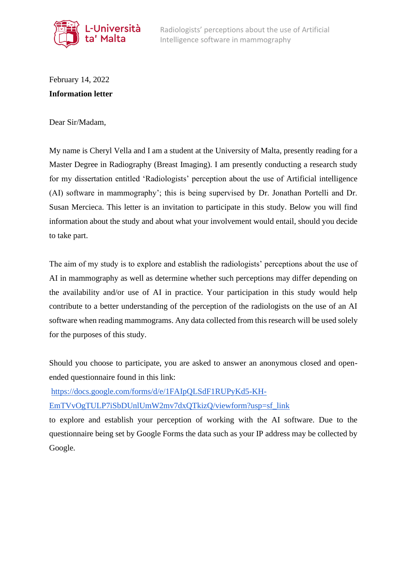

February 14, 2022 **Information letter** 

Dear Sir/Madam,

My name is Cheryl Vella and I am a student at the University of Malta, presently reading for a Master Degree in Radiography (Breast Imaging). I am presently conducting a research study for my dissertation entitled 'Radiologists' perception about the use of Artificial intelligence (AI) software in mammography'; this is being supervised by Dr. Jonathan Portelli and Dr. Susan Mercieca. This letter is an invitation to participate in this study. Below you will find information about the study and about what your involvement would entail, should you decide to take part.

The aim of my study is to explore and establish the radiologists' perceptions about the use of AI in mammography as well as determine whether such perceptions may differ depending on the availability and/or use of AI in practice. Your participation in this study would help contribute to a better understanding of the perception of the radiologists on the use of an AI software when reading mammograms. Any data collected from this research will be used solely for the purposes of this study.

Should you choose to participate, you are asked to answer an anonymous closed and openended questionnaire found in this link:

[https://docs.google.com/forms/d/e/1FAIpQLSdF1RUPyKd5-KH-](https://docs.google.com/forms/d/e/1FAIpQLSdF1RUPyKd5-KH-EmTVvOgTULP7iSbDUnlUmW2mv7dxQTkizQ/viewform?usp=sf_link)

[EmTVvOgTULP7iSbDUnlUmW2mv7dxQTkizQ/viewform?usp=sf\\_link](https://docs.google.com/forms/d/e/1FAIpQLSdF1RUPyKd5-KH-EmTVvOgTULP7iSbDUnlUmW2mv7dxQTkizQ/viewform?usp=sf_link)

to explore and establish your perception of working with the AI software. Due to the questionnaire being set by Google Forms the data such as your IP address may be collected by Google.